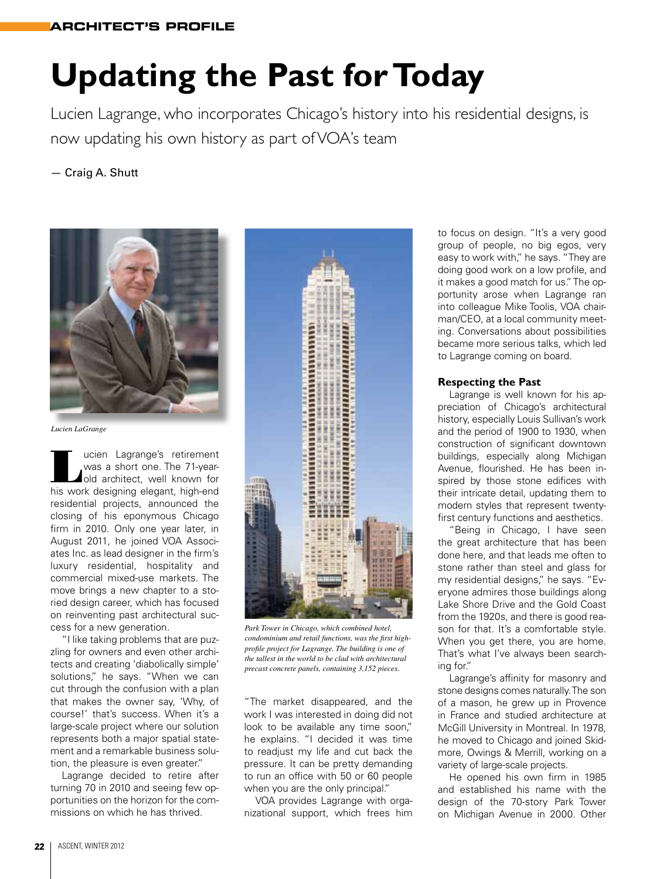## **Updating the Past for Today**

Lucien Lagrange, who incorporates Chicago's history into his residential designs, is now updating his own history as part of VOA's team

— Craig A. Shutt



*Lucien LaGrange*

Lucien Lagrange's retirement<br>
was a short one. The 71-year-<br>
did architect, well known for<br>
his work dosigning algoant high-ond was a short one. The 71-yearold architect, well known for his work designing elegant, high-end residential projects, announced the closing of his eponymous Chicago firm in 2010. Only one year later, in August 2011, he joined VOA Associates Inc. as lead designer in the firm's luxury residential, hospitality and commercial mixed-use markets. The move brings a new chapter to a storied design career, which has focused on reinventing past architectural success for a new generation.

"I like taking problems that are puzzling for owners and even other architects and creating 'diabolically simple' solutions," he says. "When we can cut through the confusion with a plan that makes the owner say, 'Why, of course!' that's success. When it's a large-scale project where our solution represents both a major spatial statement and a remarkable business solution, the pleasure is even greater."

Lagrange decided to retire after turning 70 in 2010 and seeing few opportunities on the horizon for the commissions on which he has thrived.



*Park Tower in Chicago, which combined hotel, condominium and retail functions, was the first highprofile project for Lagrange. The building is one of the tallest in the world to be clad with architectural precast concrete panels, containing 3,152 pieces.*

"The market disappeared, and the work I was interested in doing did not look to be available any time soon," he explains. "I decided it was time to readjust my life and cut back the pressure. It can be pretty demanding to run an office with 50 or 60 people when you are the only principal."

VOA provides Lagrange with organizational support, which frees him to focus on design. "It's a very good group of people, no big egos, very easy to work with," he says. "They are doing good work on a low profile, and it makes a good match for us." The opportunity arose when Lagrange ran into colleague Mike Toolis, VOA chairman/CEO, at a local community meeting. Conversations about possibilities became more serious talks, which led to Lagrange coming on board.

## **Respecting the Past**

Lagrange is well known for his appreciation of Chicago's architectural history, especially Louis Sullivan's work and the period of 1900 to 1930, when construction of significant downtown buildings, especially along Michigan Avenue, flourished. He has been inspired by those stone edifices with their intricate detail, updating them to modern styles that represent twentyfirst century functions and aesthetics.

"Being in Chicago, I have seen the great architecture that has been done here, and that leads me often to stone rather than steel and glass for my residential designs," he says. "Everyone admires those buildings along Lake Shore Drive and the Gold Coast from the 1920s, and there is good reason for that. It's a comfortable style. When you get there, you are home. That's what I've always been searching for."

Lagrange's affinity for masonry and stone designs comes naturally. The son of a mason, he grew up in Provence in France and studied architecture at McGill University in Montreal. In 1978, he moved to Chicago and joined Skidmore, Owings & Merrill, working on a variety of large-scale projects.

He opened his own firm in 1985 and established his name with the design of the 70-story Park Tower on Michigan Avenue in 2000. Other